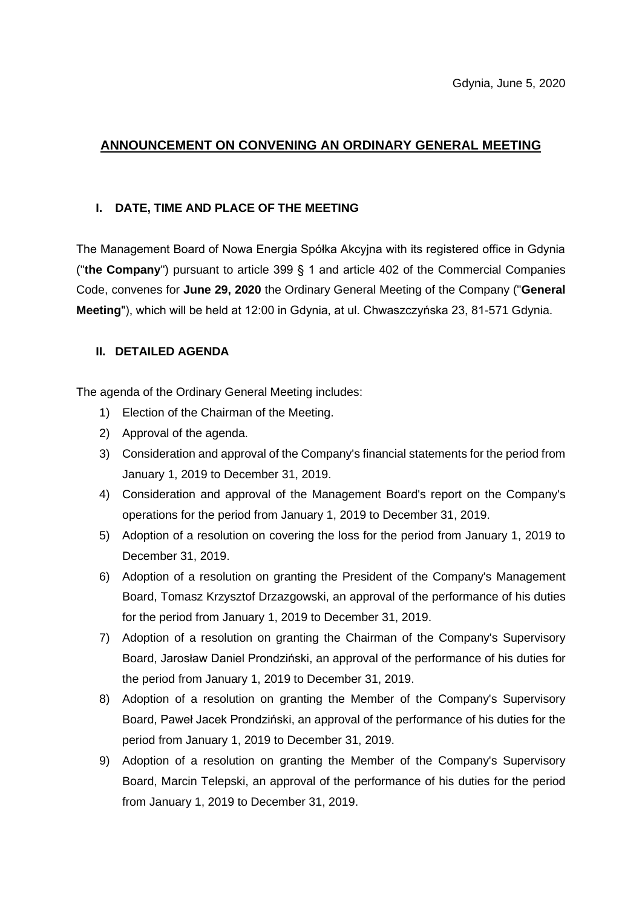# **ANNOUNCEMENT ON CONVENING AN ORDINARY GENERAL MEETING**

#### **I. DATE, TIME AND PLACE OF THE MEETING**

The Management Board of Nowa Energia Spółka Akcyjna with its registered office in Gdynia ("**the Company**") pursuant to article 399 § 1 and article 402 of the Commercial Companies Code, convenes for **June 29, 2020** the Ordinary General Meeting of the Company ("**General Meeting**"), which will be held at 12:00 in Gdynia, at ul. Chwaszczyńska 23, 81-571 Gdynia.

### **II. DETAILED AGENDA**

The agenda of the Ordinary General Meeting includes:

- 1) Election of the Chairman of the Meeting.
- 2) Approval of the agenda.
- 3) Consideration and approval of the Company's financial statements for the period from January 1, 2019 to December 31, 2019.
- 4) Consideration and approval of the Management Board's report on the Company's operations for the period from January 1, 2019 to December 31, 2019.
- 5) Adoption of a resolution on covering the loss for the period from January 1, 2019 to December 31, 2019.
- 6) Adoption of a resolution on granting the President of the Company's Management Board, Tomasz Krzysztof Drzazgowski, an approval of the performance of his duties for the period from January 1, 2019 to December 31, 2019.
- 7) Adoption of a resolution on granting the Chairman of the Company's Supervisory Board, Jarosław Daniel Prondziński, an approval of the performance of his duties for the period from January 1, 2019 to December 31, 2019.
- 8) Adoption of a resolution on granting the Member of the Company's Supervisory Board, Paweł Jacek Prondziński, an approval of the performance of his duties for the period from January 1, 2019 to December 31, 2019.
- 9) Adoption of a resolution on granting the Member of the Company's Supervisory Board, Marcin Telepski, an approval of the performance of his duties for the period from January 1, 2019 to December 31, 2019.